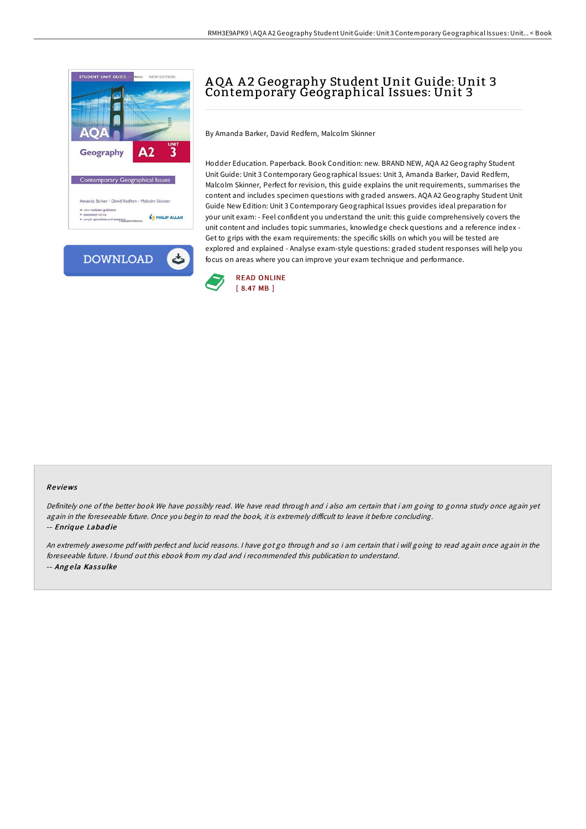



# AQA A 2 Geography Student Unit Guide: Unit 3 Contemporary Geographical Issues: Unit 3

By Amanda Barker, David Redfern, Malcolm Skinner

Hodder Education. Paperback. Book Condition: new. BRAND NEW, AQA A2 Geography Student Unit Guide: Unit 3 Contemporary Geographical Issues: Unit 3, Amanda Barker, David Redfern, Malcolm Skinner, Perfect for revision, this guide explains the unit requirements, summarises the content and includes specimen questions with graded answers. AQA A2 Geography Student Unit Guide New Edition: Unit 3 Contemporary Geographical Issues provides ideal preparation for your unit exam: - Feel confident you understand the unit: this guide comprehensively covers the unit content and includes topic summaries, knowledge check questions and a reference index - Get to grips with the exam requirements: the specific skills on which you will be tested are explored and explained - Analyse exam-style questions: graded student responses will help you focus on areas where you can improve your exam technique and performance.



#### Re views

Definitely one of the better book We have possibly read. We have read through and i also am certain that i am going to gonna study once again yet again in the foreseeable future. Once you begin to read the book, it is extremely difficult to leave it before concluding. -- Enriq ue Labad ie

An extremely awesome pdf with perfect and lucid reasons. <sup>I</sup> have got go through and so i am certain that i will going to read again once again in the foreseeable future. I found out this ebook from my dad and i recommended this publication to understand. -- Angela Kassulke